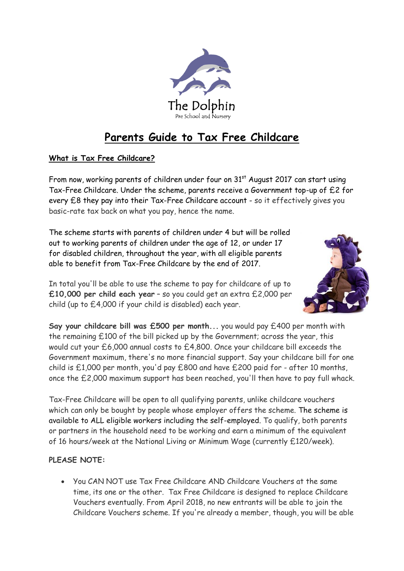

# **Parents Guide to Tax Free Childcare**

## **What is Tax Free Childcare?**

From now, working parents of children under four on 31<sup>st</sup> August 2017 can start using Tax-Free Childcare. Under the scheme, parents receive a Government top-up of £2 for every £8 they pay into their Tax-Free Childcare account - so it effectively gives you basic-rate tax back on what you pay, hence the name.

The scheme starts with parents of children under 4 but will be rolled out to working parents of children under the age of 12, or under 17 for disabled children, throughout the year, with all eligible parents able to benefit from Tax-Free Childcare by the end of 2017.



In total you'll be able to use the scheme to pay for childcare of up to **£10,000 per child each year** – so you could get an extra £2,000 per child (up to £4,000 if your child is disabled) each year.

**Say your childcare bill was £500 per month...** you would pay £400 per month with the remaining £100 of the bill picked up by the Government; across the year, this would cut your £6,000 annual costs to £4,800. Once your childcare bill exceeds the Government maximum, there's no more financial support. Say your childcare bill for one child is £1,000 per month, you'd pay £800 and have £200 paid for - after 10 months, once the £2,000 maximum support has been reached, you'll then have to pay full whack.

Tax-Free Childcare will be open to all qualifying parents, unlike childcare vouchers which can only be bought by people whose employer offers the scheme. The scheme is available to ALL eligible workers including the self-employed. To qualify, both parents or partners in the household need to be working and earn a minimum of the equivalent of 16 hours/week at the National Living or Minimum Wage (currently £120/week).

## **PLEASE NOTE:**

 You CAN NOT use Tax Free Childcare AND Childcare Vouchers at the same time, its one or the other. Tax Free Childcare is designed to replace Childcare Vouchers eventually. From April 2018, no new entrants will be able to join the Childcare Vouchers scheme. If you're already a member, though, you will be able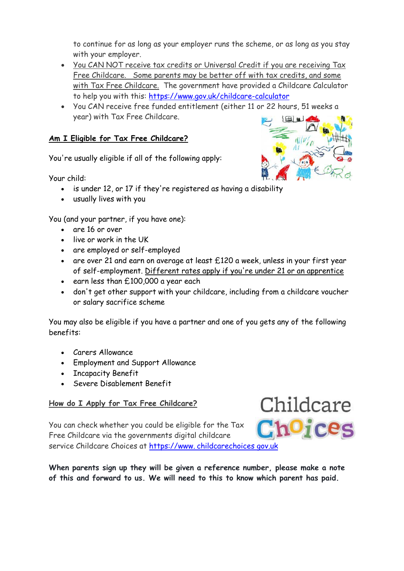to continue for as long as your employer runs the scheme, or as long as you stay with your employer.

- You CAN NOT receive tax credits or Universal Credit if you are receiving Tax Free Childcare. Some parents may be better off with tax credits, and some with Tax Free Childcare. The government have provided a Childcare Calculator to help you with this:<https://www.gov.uk/childcare-calculator>
- You CAN receive free funded entitlement (either 11 or 22 hours, 51 weeks a year) with Tax Free Childcare.

## **Am I Eligible for Tax Free Childcare?**

You're usually eligible if all of the following apply:

Your child:

- is under 12, or 17 if they're registered as having a disability
- usually lives with you

You (and your partner, if you have one):

- are 16 or over
- live or work in the UK
- are employed or self-employed
- are over 21 and earn on average at least £120 a week, unless in your first year of self-employment. [Different rates apply if you're under 21 or an apprentice](https://www.gov.uk/national-minimum-wage-rates)
- earn less than £100,000 a year each
- don't get other support with your childcare, including from a childcare voucher or salary sacrifice scheme

You may also be eligible if you have a partner and one of you gets any of the following benefits:

- Carers Allowance
- Employment and Support Allowance
- Incapacity Benefit
- Severe Disablement Benefit

#### **How do I Apply for Tax Free Childcare?**

You can check whether you could be eligible for the Tax Free Childcare via the governments digital childcare service Childcare Choices at https://www. childcarechoices gov.uk

**When parents sign up they will be given a reference number, please make a note of this and forward to us. We will need to this to know which parent has paid.**



Childcare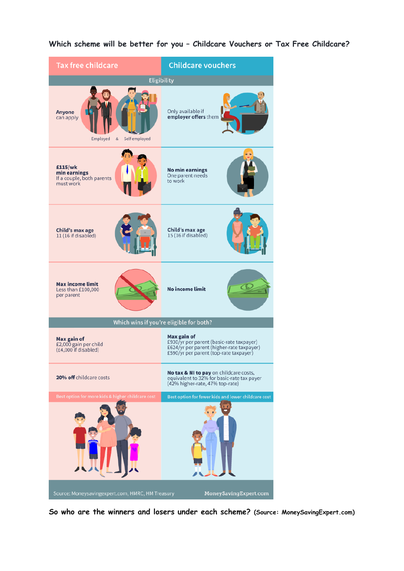| <b>Tax free childcare</b>                                                 | <b>Childcare vouchers</b>                                                                                                                      |
|---------------------------------------------------------------------------|------------------------------------------------------------------------------------------------------------------------------------------------|
| Eligibility                                                               |                                                                                                                                                |
| Anyone<br>can apply<br>Employed<br>$\&$<br>Self employed                  | Only available if<br>employer offers them                                                                                                      |
| £115/wk<br>min earnings<br>If a couple, both parents<br>must work         | <b>No min earnings</b><br>One parent needs<br>to work                                                                                          |
| Child's max age<br>11 (16 if disabled)                                    | Child's max age<br>15(16 if disabled)                                                                                                          |
| <b>Max income limit</b><br>Less than £100,000<br>per parent               | <b>No income limit</b>                                                                                                                         |
| Which wins if you're eligible for both?                                   |                                                                                                                                                |
| Max gain of<br>£2,000 gain per child<br>(£4,000 if disabled)              | Max gain of<br>£930/yr per parent (basic-rate taxpayer)<br>£624/yr per parent (higher-rate taxpayer)<br>£590/yr per parent (top-rate taxpayer) |
| 20% off childcare costs                                                   | No tax & NI to pay on childcare costs,<br>equivalent to 32% for basic-rate tax payer<br>(42% higher-rate, 47% top-rate)                        |
| Best option for more kids & higher childcare cost                         | Best option for fewer kids and lower childcare cost                                                                                            |
|                                                                           |                                                                                                                                                |
| Source: Moneysavingexpert.com, HMRC, HM Treasury<br>MoneySavingExpert.com |                                                                                                                                                |

**Which scheme will be better for you – Childcare Vouchers or Tax Free Childcare?**

**So who are the winners and losers under each scheme? (Source: MoneySavingExpert.com)**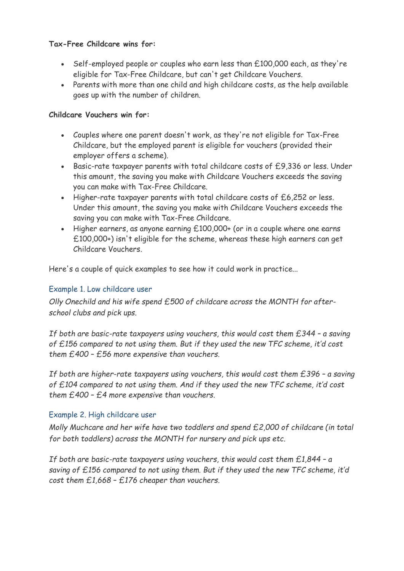### **Tax-Free Childcare wins for:**

- $\cdot$  Self-employed people or couples who earn less than  $£100,000$  each, as they're eligible for Tax-Free Childcare, but can't get Childcare Vouchers.
- Parents with more than one child and high childcare costs, as the help available goes up with the number of children.

## **Childcare Vouchers win for:**

- Couples where one parent doesn't work, as they're not eligible for Tax-Free Childcare, but the employed parent is eligible for vouchers (provided their employer offers a scheme).
- Basic-rate taxpayer parents with total childcare costs of £9,336 or less. Under this amount, the saving you make with Childcare Vouchers exceeds the saving you can make with Tax-Free Childcare.
- Higher-rate taxpayer parents with total childcare costs of £6,252 or less. Under this amount, the saving you make with Childcare Vouchers exceeds the saving you can make with Tax-Free Childcare.
- Higher earners, as anyone earning £100,000+ (or in a couple where one earns £100,000+) isn't eligible for the scheme, whereas these high earners can get Childcare Vouchers.

Here's a couple of quick examples to see how it could work in practice...

## Example 1. Low childcare user

*Olly Onechild and his wife spend £500 of childcare across the MONTH for afterschool clubs and pick ups.* 

*If both are basic-rate taxpayers using vouchers, this would cost them £344 – a saving of £156 compared to not using them. But if they used the new TFC scheme, it'd cost them £400 – £56 more expensive than vouchers.* 

*If both are higher-rate taxpayers using vouchers, this would cost them £396 - a saving of £104 compared to not using them. And if they used the new TFC scheme, it'd cost them £400 – £4 more expensive than vouchers.* 

## Example 2. High childcare user

*Molly Muchcare and her wife have two toddlers and spend £2,000 of childcare (in total for both toddlers) across the MONTH for nursery and pick ups etc.*

*If both are basic-rate taxpayers using vouchers, this would cost them £1,844 – a saving of £156 compared to not using them. But if they used the new TFC scheme, it'd cost them £1,668 – £176 cheaper than vouchers.*